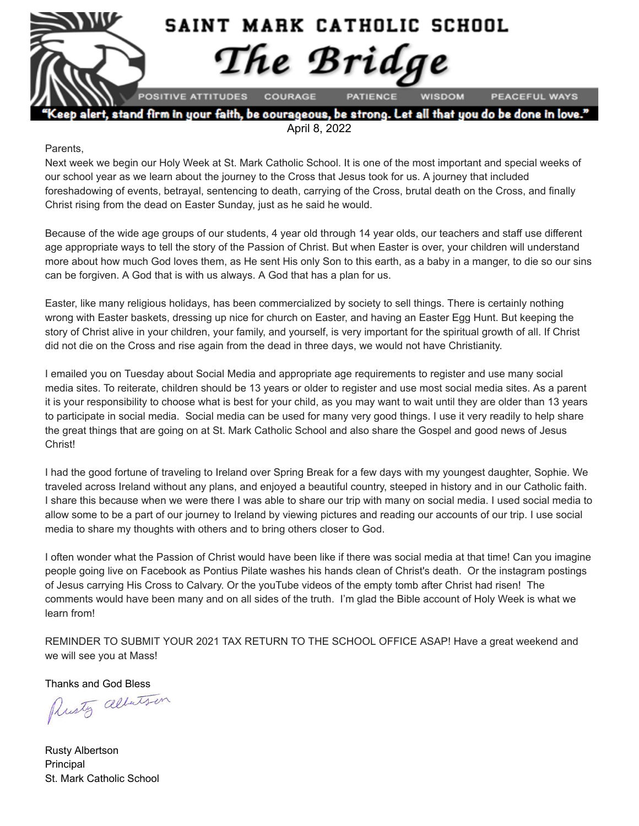

lert, stand firm in your faith, be courageous, be strong. Let all that you do be done in love April 8, 2022

#### Parents,

Next week we begin our Holy Week at St. Mark Catholic School. It is one of the most important and special weeks of our school year as we learn about the journey to the Cross that Jesus took for us. A journey that included foreshadowing of events, betrayal, sentencing to death, carrying of the Cross, brutal death on the Cross, and finally Christ rising from the dead on Easter Sunday, just as he said he would.

Because of the wide age groups of our students, 4 year old through 14 year olds, our teachers and staff use different age appropriate ways to tell the story of the Passion of Christ. But when Easter is over, your children will understand more about how much God loves them, as He sent His only Son to this earth, as a baby in a manger, to die so our sins can be forgiven. A God that is with us always. A God that has a plan for us.

Easter, like many religious holidays, has been commercialized by society to sell things. There is certainly nothing wrong with Easter baskets, dressing up nice for church on Easter, and having an Easter Egg Hunt. But keeping the story of Christ alive in your children, your family, and yourself, is very important for the spiritual growth of all. If Christ did not die on the Cross and rise again from the dead in three days, we would not have Christianity.

I emailed you on Tuesday about Social Media and appropriate age requirements to register and use many social media sites. To reiterate, children should be 13 years or older to register and use most social media sites. As a parent it is your responsibility to choose what is best for your child, as you may want to wait until they are older than 13 years to participate in social media. Social media can be used for many very good things. I use it very readily to help share the great things that are going on at St. Mark Catholic School and also share the Gospel and good news of Jesus Christ!

I had the good fortune of traveling to Ireland over Spring Break for a few days with my youngest daughter, Sophie. We traveled across Ireland without any plans, and enjoyed a beautiful country, steeped in history and in our Catholic faith. I share this because when we were there I was able to share our trip with many on social media. I used social media to allow some to be a part of our journey to Ireland by viewing pictures and reading our accounts of our trip. I use social media to share my thoughts with others and to bring others closer to God.

I often wonder what the Passion of Christ would have been like if there was social media at that time! Can you imagine people going live on Facebook as Pontius Pilate washes his hands clean of Christ's death. Or the instagram postings of Jesus carrying His Cross to Calvary. Or the youTube videos of the empty tomb after Christ had risen! The comments would have been many and on all sides of the truth. I'm glad the Bible account of Holy Week is what we learn from!

REMINDER TO SUBMIT YOUR 2021 TAX RETURN TO THE SCHOOL OFFICE ASAP! Have a great weekend and we will see you at Mass!

Thanks and God Bless<br>Plusty alberts in

Rusty Albertson Principal St. Mark Catholic School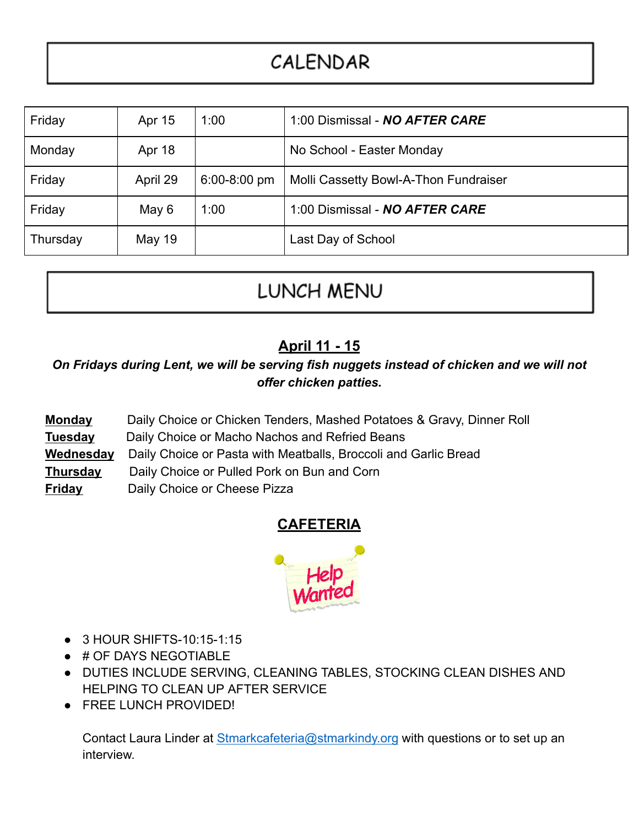# CALENDAR

| Friday   | Apr 15   | 1:00           | 1:00 Dismissal - NO AFTER CARE        |  |
|----------|----------|----------------|---------------------------------------|--|
| Monday   | Apr 18   |                | No School - Easter Monday             |  |
| Friday   | April 29 | $6:00-8:00$ pm | Molli Cassetty Bowl-A-Thon Fundraiser |  |
| Friday   | May 6    | 1:00           | 1:00 Dismissal - NO AFTER CARE        |  |
| Thursday | May 19   |                | Last Day of School                    |  |

# **LUNCH MENU**

### **April 11 - 15**

*On Fridays during Lent, we will be serving fish nuggets instead of chicken and we will not offer chicken patties.*

- **Monday** Daily Choice or Chicken Tenders, Mashed Potatoes & Gravy, Dinner Roll
- **Tuesday** Daily Choice or Macho Nachos and Refried Beans
- **Wednesday** Daily Choice or Pasta with Meatballs, Broccoli and Garlic Bread
- **Thursday** Daily Choice or Pulled Pork on Bun and Corn
- **Friday** Daily Choice or Cheese Pizza

#### **CAFETERIA**



- 3 HOUR SHIFTS-10:15-1:15
- # OF DAYS NEGOTIABLE
- DUTIES INCLUDE SERVING, CLEANING TABLES, STOCKING CLEAN DISHES AND HELPING TO CLEAN UP AFTER SERVICE
- FREE LUNCH PROVIDED!

Contact Laura Linder at [Stmarkcafeteria@stmarkindy.org](mailto:Stmarkcafeteria@stmarkindy.org) with questions or to set up an interview.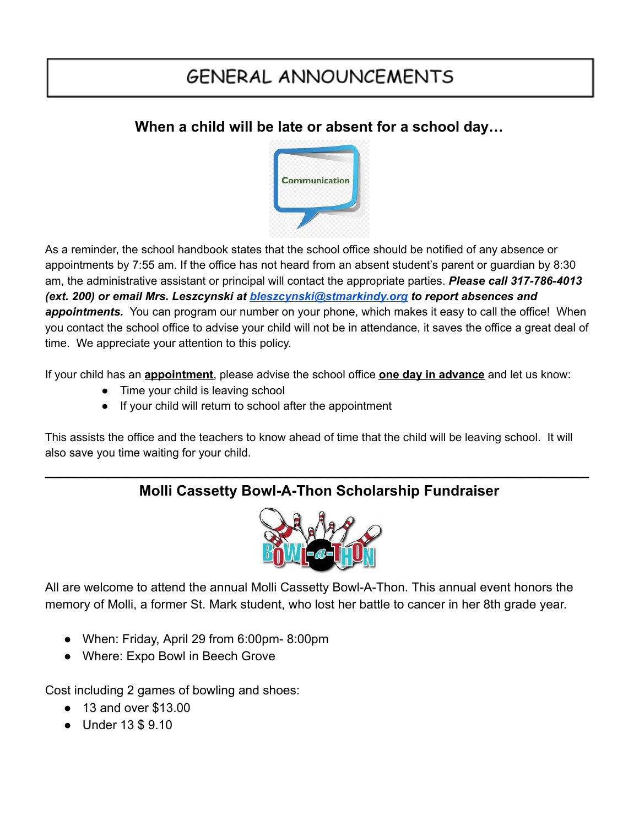# **GENERAL ANNOUNCEMENTS**

#### **When a child will be late or absent for a school day…**



As a reminder, the school handbook states that the school office should be notified of any absence or appointments by 7:55 am. If the office has not heard from an absent student's parent or guardian by 8:30 am, the administrative assistant or principal will contact the appropriate parties. *Please call 317-786-4013 (ext. 200) or email Mrs. Leszcynski at [bleszcynski@stmarkindy.org](mailto:bleszcynski@stmarkindy.org) to report absences and appointments.* You can program our number on your phone, which makes it easy to call the office! When you contact the school office to advise your child will not be in attendance, it saves the office a great deal of time. We appreciate your attention to this policy.

If your child has an **appointment**, please advise the school office **one day in advance** and let us know:

- Time your child is leaving school
- If your child will return to school after the appointment

This assists the office and the teachers to know ahead of time that the child will be leaving school. It will also save you time waiting for your child.

#### **\_\_\_\_\_\_\_\_\_\_\_\_\_\_\_\_\_\_\_\_\_\_\_\_\_\_\_\_\_\_\_\_\_\_\_\_\_\_\_\_\_\_\_\_\_\_\_\_\_\_\_\_\_\_\_\_\_\_\_\_\_\_\_\_\_\_\_ Molli Cassetty Bowl-A-Thon Scholarship Fundraiser**



All are welcome to attend the annual Molli Cassetty Bowl-A-Thon. This annual event honors the memory of Molli, a former St. Mark student, who lost her battle to cancer in her 8th grade year.

- When: Friday, April 29 from 6:00pm- 8:00pm
- Where: Expo Bowl in Beech Grove

Cost including 2 games of bowling and shoes:

- 13 and over \$13.00
- Under 13 \$ 9.10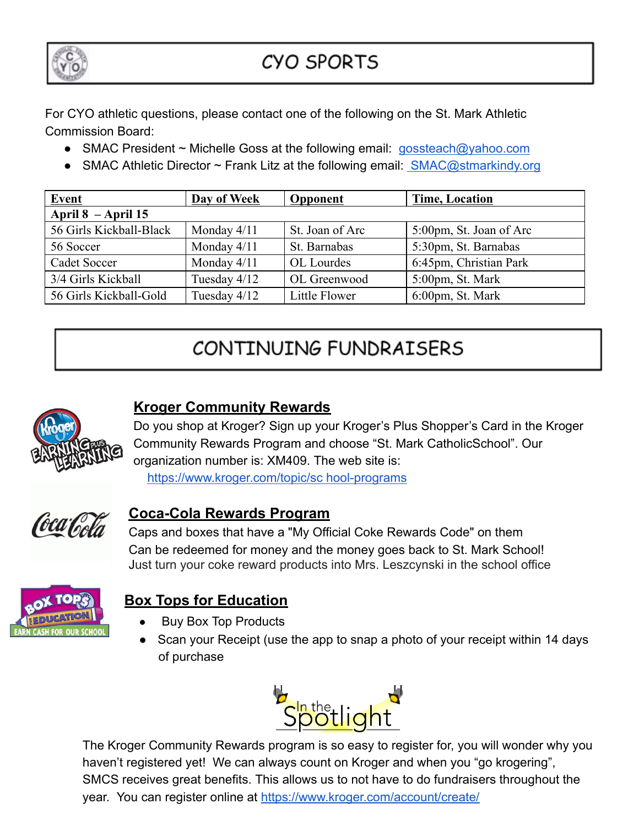

## **CYO SPORTS**

For CYO athletic questions, please contact one of the following on the St. Mark Athletic Commission Board:

- SMAC President ~ Michelle Goss at the following email: [gossteach@yahoo.com](mailto:gossteach@yahoo.com)
- SMAC Athletic Director  $\sim$  Frank Litz at the following email: [SMAC@stmarkindy.org](mailto:SMAC@stmarkindy.org)

| <b>Event</b>            | <b>Day of Week</b> | <b>Opponent</b> | <b>Time, Location</b>   |  |  |  |
|-------------------------|--------------------|-----------------|-------------------------|--|--|--|
| April $8 -$ April 15    |                    |                 |                         |  |  |  |
| 56 Girls Kickball-Black | Monday 4/11        | St. Joan of Arc | 5:00pm, St. Joan of Arc |  |  |  |
| 56 Soccer               | Monday 4/11        | St. Barnabas    | 5:30pm, St. Barnabas    |  |  |  |
| Cadet Soccer            | Monday 4/11        | OL Lourdes      | 6:45pm, Christian Park  |  |  |  |
| 3/4 Girls Kickball      | Tuesday 4/12       | OL Greenwood    | 5:00pm, St. Mark        |  |  |  |
| 56 Girls Kickball-Gold  | Tuesday 4/12       | Little Flower   | 6:00pm, St. Mark        |  |  |  |

# CONTINUING FUNDRAISERS



### **Kroger Community Rewards**

Do you shop at Kroger? Sign up your Kroger's Plus Shopper's Card in the Kroger Community Rewards Program and choose "St. Mark CatholicSchool". Our organization number is: XM409. The web site is:

[https://www.kroger.com/topic/sc hool-programs](https://www.kroger.com/topic/sc)



#### **Coca-Cola Rewards Program**

Caps and boxes that have a "My Official Coke Rewards Code" on them Can be redeemed for money and the money goes back to St. Mark School! Just turn your coke reward products into Mrs. Leszcynski in the school office



### **Box Tops for Education**

- **Buy Box Top Products**
- Scan your Receipt (use the app to snap a photo of your receipt within 14 days of purchase



The Kroger Community Rewards program is so easy to register for, you will wonder why you haven't registered yet! We can always count on Kroger and when you "go krogering", SMCS receives great benefits. This allows us to not have to do fundraisers throughout the year. You can register online at <https://www.kroger.com/account/create/>